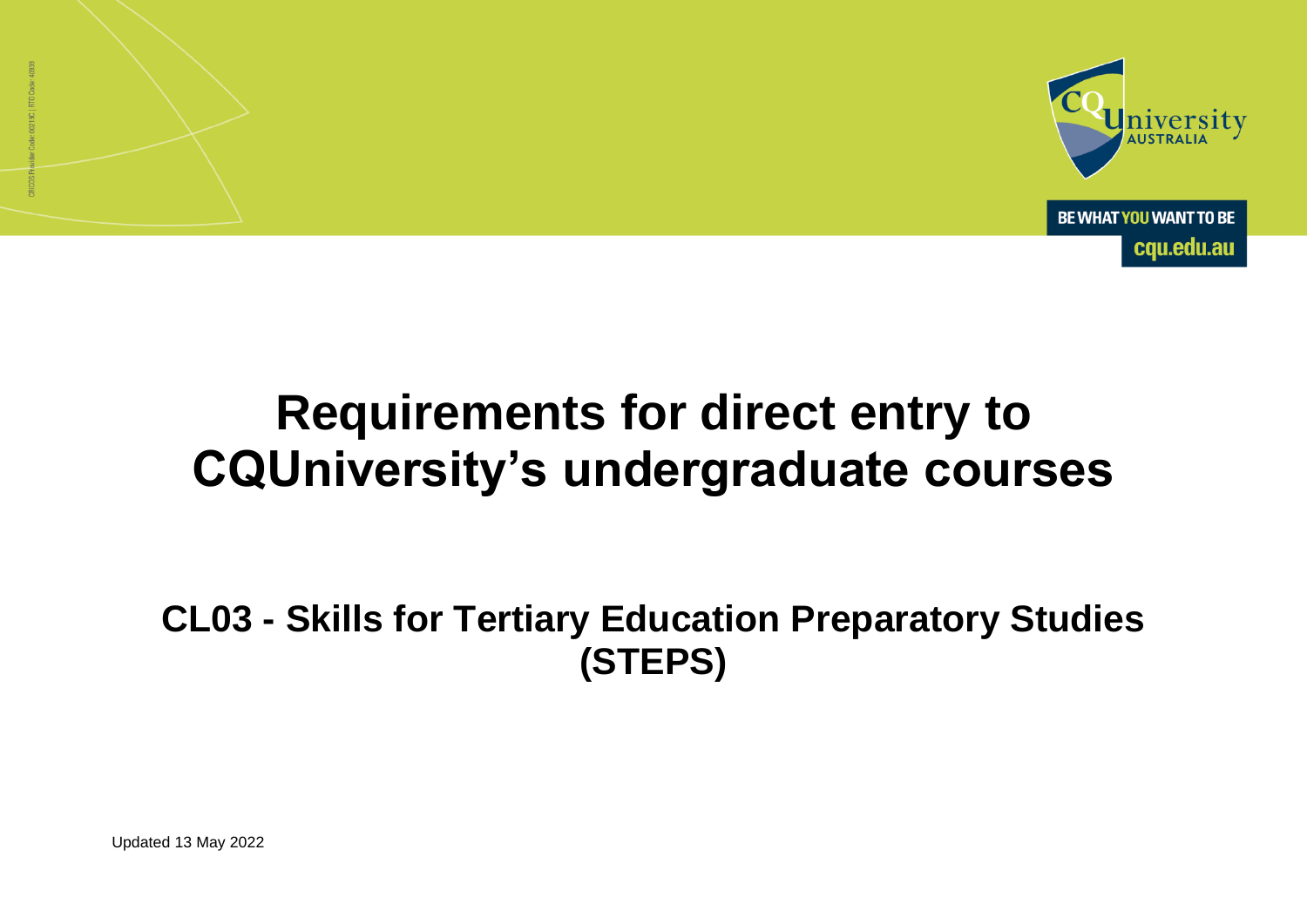

# **Requirements for direct entry to CQUniversity's undergraduate courses**

**CL03 - Skills for Tertiary Education Preparatory Studies (STEPS)**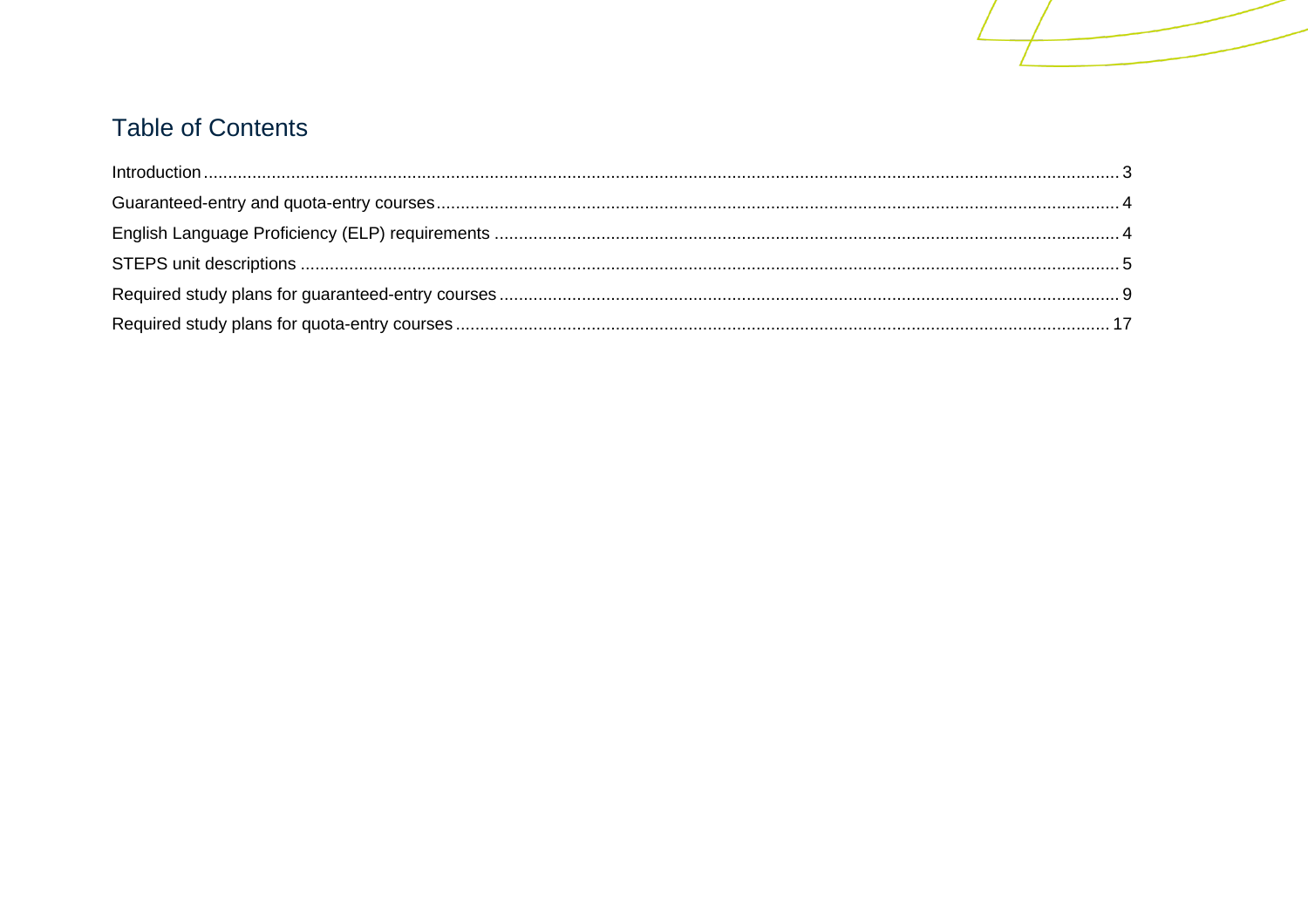# **Table of Contents**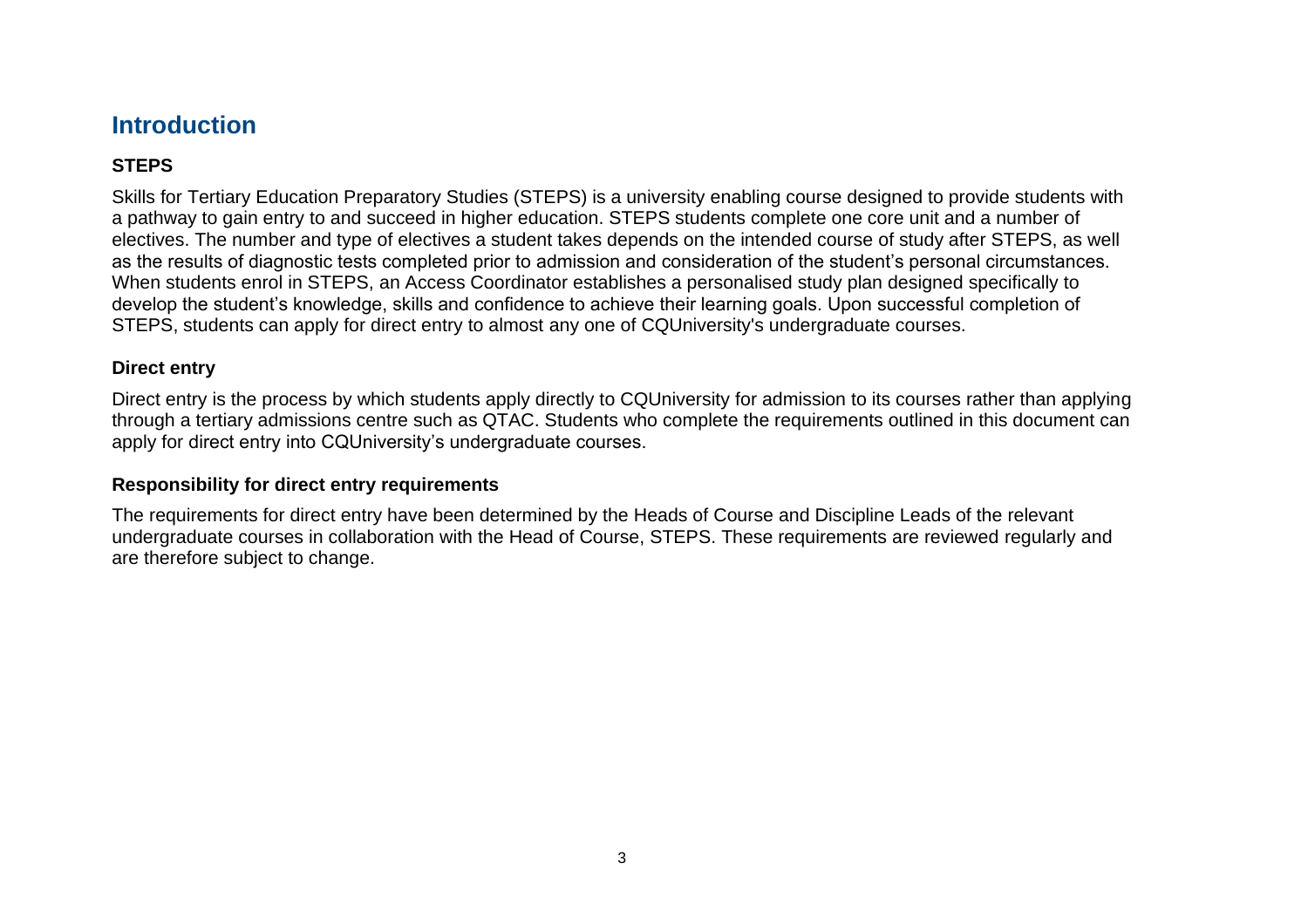# <span id="page-2-0"></span>**Introduction**

#### **STEPS**

Skills for Tertiary Education Preparatory Studies (STEPS) is a university enabling course designed to provide students with a pathway to gain entry to and succeed in higher education. STEPS students complete one core unit and a number of electives. The number and type of electives a student takes depends on the intended course of study after STEPS, as well as the results of diagnostic tests completed prior to admission and consideration of the student's personal circumstances. When students enrol in STEPS, an Access Coordinator establishes a personalised study plan designed specifically to develop the student's knowledge, skills and confidence to achieve their learning goals. Upon successful completion of STEPS, students can apply for direct entry to almost any one of CQUniversity's undergraduate courses.

#### **Direct entry**

Direct entry is the process by which students apply directly to CQUniversity for admission to its courses rather than applying through a tertiary admissions centre such as QTAC. Students who complete the requirements outlined in this document can apply for direct entry into CQUniversity's undergraduate courses.

#### **Responsibility for direct entry requirements**

The requirements for direct entry have been determined by the Heads of Course and Discipline Leads of the relevant undergraduate courses in collaboration with the Head of Course, STEPS. These requirements are reviewed regularly and are therefore subject to change.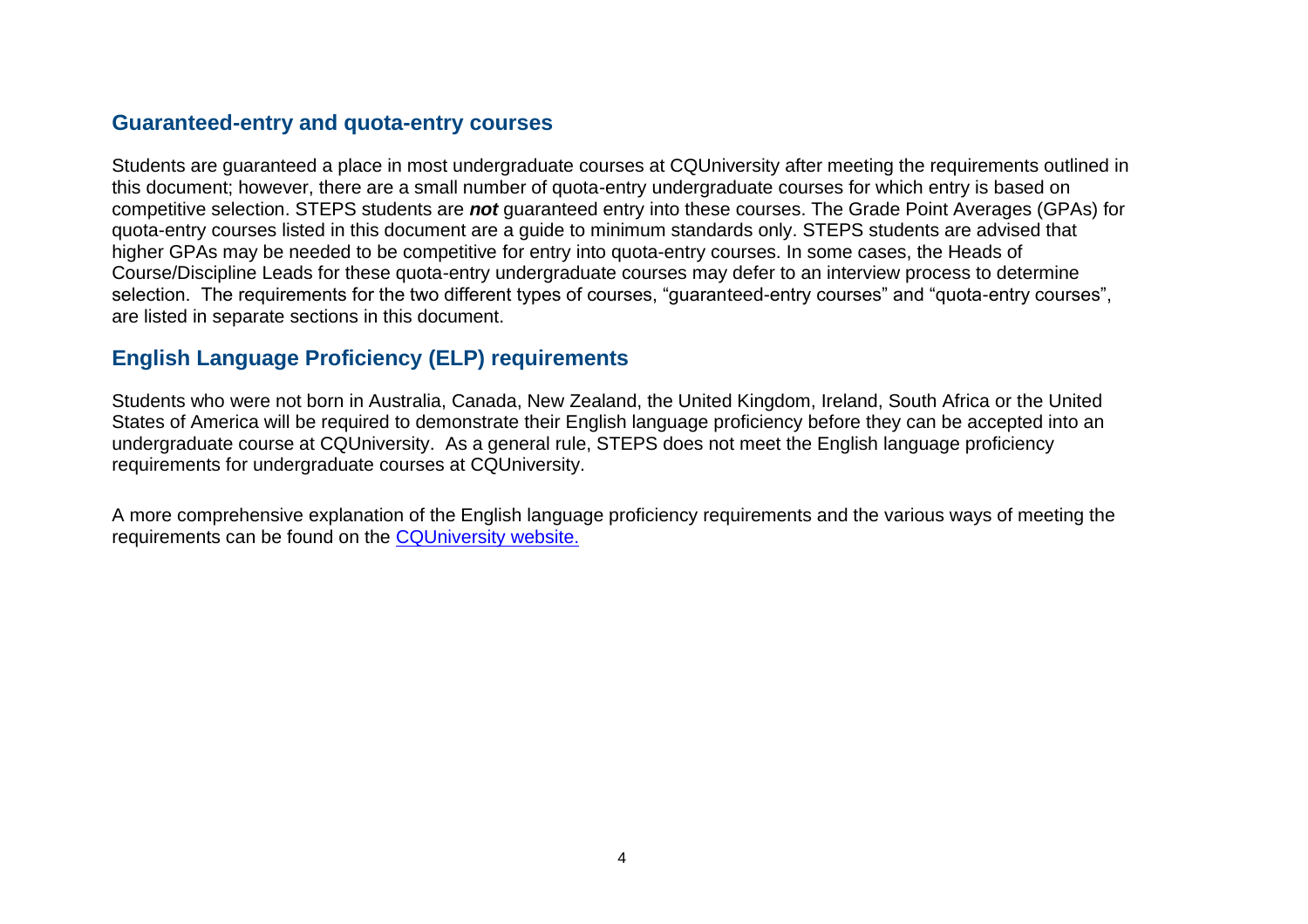### <span id="page-3-0"></span>**Guaranteed-entry and quota-entry courses**

Students are guaranteed a place in most undergraduate courses at CQUniversity after meeting the requirements outlined in this document; however, there are a small number of quota-entry undergraduate courses for which entry is based on competitive selection. STEPS students are *not* guaranteed entry into these courses. The Grade Point Averages (GPAs) for quota-entry courses listed in this document are a guide to minimum standards only. STEPS students are advised that higher GPAs may be needed to be competitive for entry into quota-entry courses. In some cases, the Heads of Course/Discipline Leads for these quota-entry undergraduate courses may defer to an interview process to determine selection. The requirements for the two different types of courses, "guaranteed-entry courses" and "quota-entry courses", are listed in separate sections in this document.

## <span id="page-3-1"></span>**English Language Proficiency (ELP) requirements**

Students who were not born in Australia, Canada, New Zealand, the United Kingdom, Ireland, South Africa or the United States of America will be required to demonstrate their English language proficiency before they can be accepted into an undergraduate course at CQUniversity. As a general rule, STEPS does not meet the English language proficiency requirements for undergraduate courses at CQUniversity.

A more comprehensive explanation of the English language proficiency requirements and the various ways of meeting the requirements can be found on the [CQUniversity website.](https://www.cqu.edu.au/international-students/entry-requirements/english-requirements)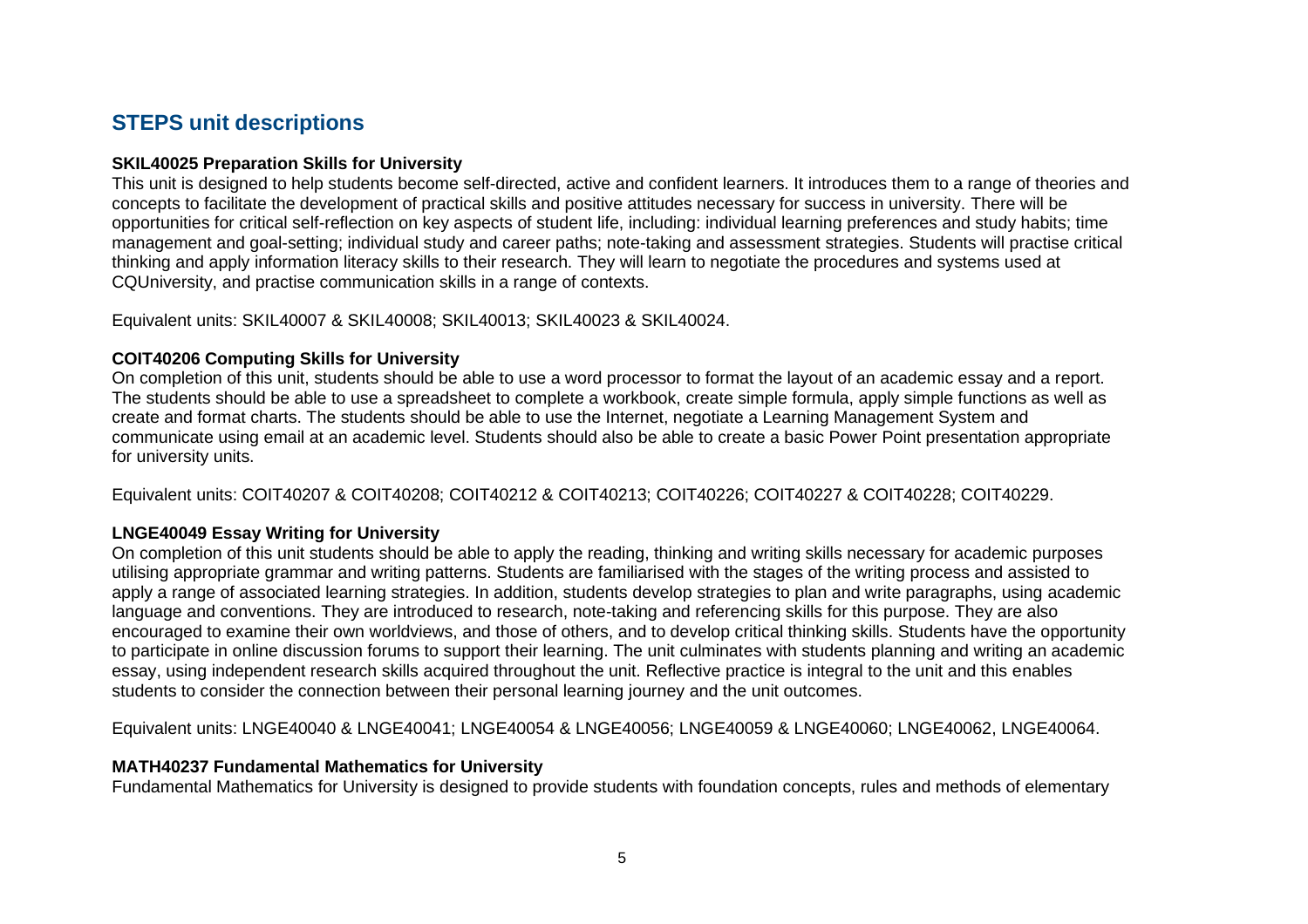## <span id="page-4-0"></span>**STEPS unit descriptions**

#### **SKIL40025 Preparation Skills for University**

This unit is designed to help students become self-directed, active and confident learners. It introduces them to a range of theories and concepts to facilitate the development of practical skills and positive attitudes necessary for success in university. There will be opportunities for critical self-reflection on key aspects of student life, including: individual learning preferences and study habits; time management and goal-setting; individual study and career paths; note-taking and assessment strategies. Students will practise critical thinking and apply information literacy skills to their research. They will learn to negotiate the procedures and systems used at CQUniversity, and practise communication skills in a range of contexts.

Equivalent units: SKIL40007 & SKIL40008; SKIL40013; SKIL40023 & SKIL40024.

#### **COIT40206 Computing Skills for University**

On completion of this unit, students should be able to use a word processor to format the layout of an academic essay and a report. The students should be able to use a spreadsheet to complete a workbook, create simple formula, apply simple functions as well as create and format charts. The students should be able to use the Internet, negotiate a Learning Management System and communicate using email at an academic level. Students should also be able to create a basic Power Point presentation appropriate for university units.

Equivalent units: COIT40207 & COIT40208; COIT40212 & COIT40213; COIT40226; COIT40227 & COIT40228; COIT40229.

#### **LNGE40049 Essay Writing for University**

On completion of this unit students should be able to apply the reading, thinking and writing skills necessary for academic purposes utilising appropriate grammar and writing patterns. Students are familiarised with the stages of the writing process and assisted to apply a range of associated learning strategies. In addition, students develop strategies to plan and write paragraphs, using academic language and conventions. They are introduced to research, note-taking and referencing skills for this purpose. They are also encouraged to examine their own worldviews, and those of others, and to develop critical thinking skills. Students have the opportunity to participate in online discussion forums to support their learning. The unit culminates with students planning and writing an academic essay, using independent research skills acquired throughout the unit. Reflective practice is integral to the unit and this enables students to consider the connection between their personal learning journey and the unit outcomes.

Equivalent units: LNGE40040 & LNGE40041; LNGE40054 & LNGE40056; LNGE40059 & LNGE40060; LNGE40062, LNGE40064.

#### **MATH40237 Fundamental Mathematics for University**

Fundamental Mathematics for University is designed to provide students with foundation concepts, rules and methods of elementary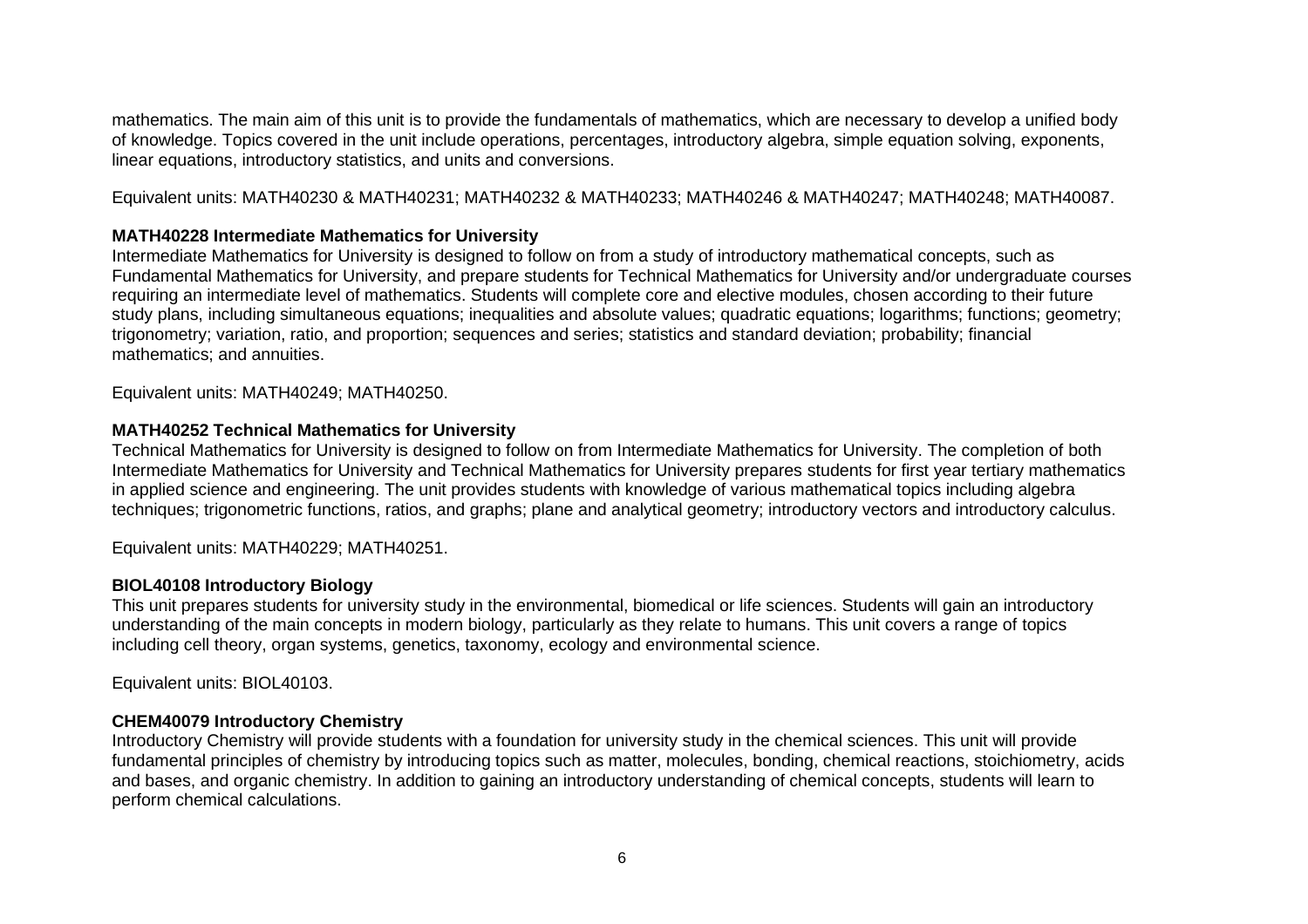mathematics. The main aim of this unit is to provide the fundamentals of mathematics, which are necessary to develop a unified body of knowledge. Topics covered in the unit include operations, percentages, introductory algebra, simple equation solving, exponents, linear equations, introductory statistics, and units and conversions.

Equivalent units: MATH40230 & MATH40231; MATH40232 & MATH40233; MATH40246 & MATH40247; MATH40248; MATH40087.

#### **MATH40228 Intermediate Mathematics for University**

Intermediate Mathematics for University is designed to follow on from a study of introductory mathematical concepts, such as Fundamental Mathematics for University, and prepare students for Technical Mathematics for University and/or undergraduate courses requiring an intermediate level of mathematics. Students will complete core and elective modules, chosen according to their future study plans, including simultaneous equations; inequalities and absolute values; quadratic equations; logarithms; functions; geometry; trigonometry; variation, ratio, and proportion; sequences and series; statistics and standard deviation; probability; financial mathematics; and annuities.

Equivalent units: MATH40249; MATH40250.

#### **MATH40252 Technical Mathematics for University**

Technical Mathematics for University is designed to follow on from Intermediate Mathematics for University. The completion of both Intermediate Mathematics for University and Technical Mathematics for University prepares students for first year tertiary mathematics in applied science and engineering. The unit provides students with knowledge of various mathematical topics including algebra techniques; trigonometric functions, ratios, and graphs; plane and analytical geometry; introductory vectors and introductory calculus.

Equivalent units: MATH40229; MATH40251.

#### **BIOL40108 Introductory Biology**

This unit prepares students for university study in the environmental, biomedical or life sciences. Students will gain an introductory understanding of the main concepts in modern biology, particularly as they relate to humans. This unit covers a range of topics including cell theory, organ systems, genetics, taxonomy, ecology and environmental science.

Equivalent units: BIOL40103.

#### **CHEM40079 Introductory Chemistry**

Introductory Chemistry will provide students with a foundation for university study in the chemical sciences. This unit will provide fundamental principles of chemistry by introducing topics such as matter, molecules, bonding, chemical reactions, stoichiometry, acids and bases, and organic chemistry. In addition to gaining an introductory understanding of chemical concepts, students will learn to perform chemical calculations.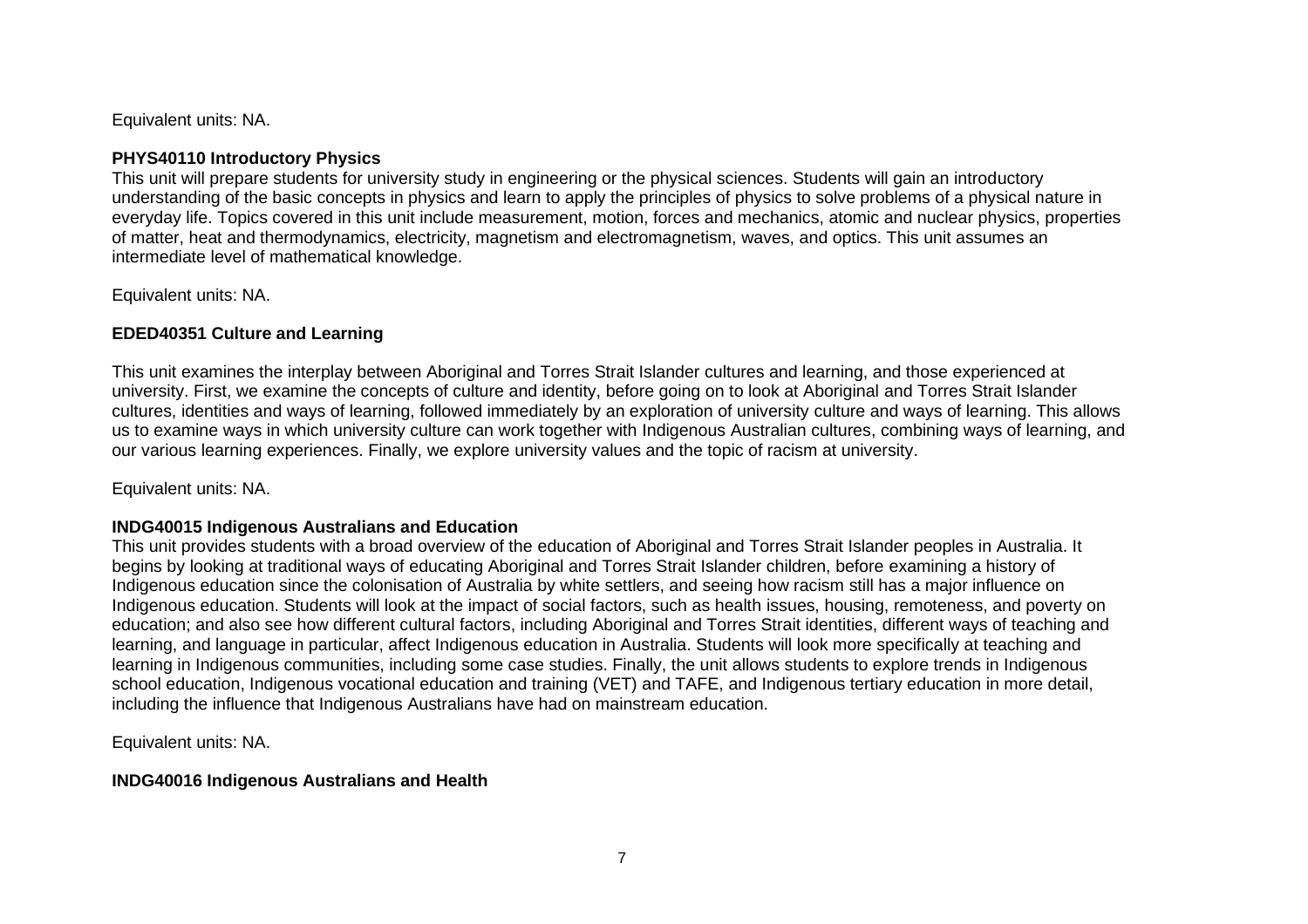Equivalent units: NA.

#### **PHYS40110 Introductory Physics**

This unit will prepare students for university study in engineering or the physical sciences. Students will gain an introductory understanding of the basic concepts in physics and learn to apply the principles of physics to solve problems of a physical nature in everyday life. Topics covered in this unit include measurement, motion, forces and mechanics, atomic and nuclear physics, properties of matter, heat and thermodynamics, electricity, magnetism and electromagnetism, waves, and optics. This unit assumes an intermediate level of mathematical knowledge.

Equivalent units: NA.

#### **EDED40351 Culture and Learning**

This unit examines the interplay between Aboriginal and Torres Strait Islander cultures and learning, and those experienced at university. First, we examine the concepts of culture and identity, before going on to look at Aboriginal and Torres Strait Islander cultures, identities and ways of learning, followed immediately by an exploration of university culture and ways of learning. This allows us to examine ways in which university culture can work together with Indigenous Australian cultures, combining ways of learning, and our various learning experiences. Finally, we explore university values and the topic of racism at university.

Equivalent units: NA.

#### **INDG40015 Indigenous Australians and Education**

This unit provides students with a broad overview of the education of Aboriginal and Torres Strait Islander peoples in Australia. It begins by looking at traditional ways of educating Aboriginal and Torres Strait Islander children, before examining a history of Indigenous education since the colonisation of Australia by white settlers, and seeing how racism still has a major influence on Indigenous education. Students will look at the impact of social factors, such as health issues, housing, remoteness, and poverty on education; and also see how different cultural factors, including Aboriginal and Torres Strait identities, different ways of teaching and learning, and language in particular, affect Indigenous education in Australia. Students will look more specifically at teaching and learning in Indigenous communities, including some case studies. Finally, the unit allows students to explore trends in Indigenous school education, Indigenous vocational education and training (VET) and TAFE, and Indigenous tertiary education in more detail, including the influence that Indigenous Australians have had on mainstream education.

Equivalent units: NA.

#### **INDG40016 Indigenous Australians and Health**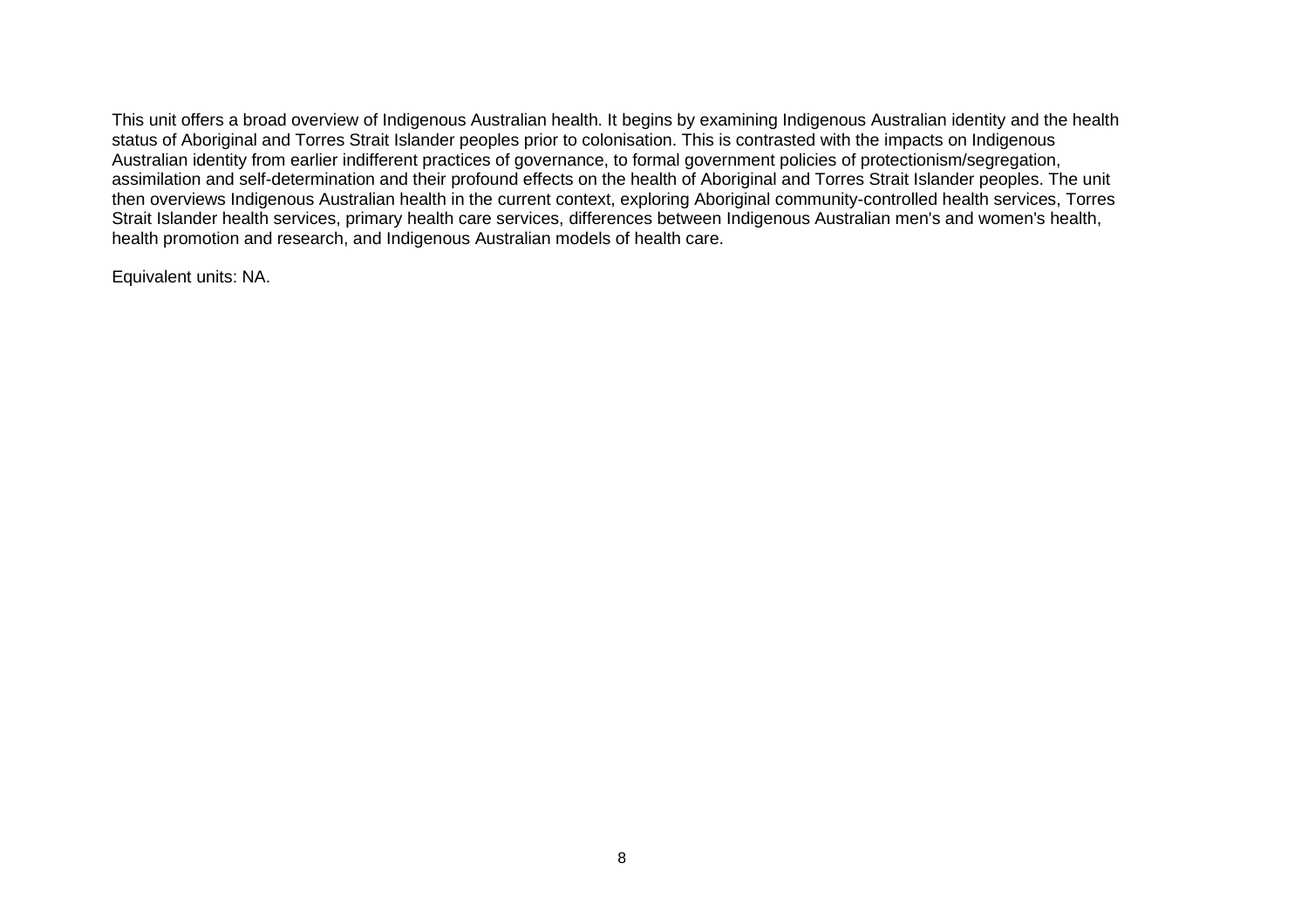This unit offers a broad overview of Indigenous Australian health. It begins by examining Indigenous Australian identity and the health status of Aboriginal and Torres Strait Islander peoples prior to colonisation. This is contrasted with the impacts on Indigenous Australian identity from earlier indifferent practices of governance, to formal government policies of protectionism/segregation, assimilation and self-determination and their profound effects on the health of Aboriginal and Torres Strait Islander peoples. The unit then overviews Indigenous Australian health in the current context, exploring Aboriginal community-controlled health services, Torres Strait Islander health services, primary health care services, differences between Indigenous Australian men's and women's health, health promotion and research, and Indigenous Australian models of health care.

Equivalent units: NA.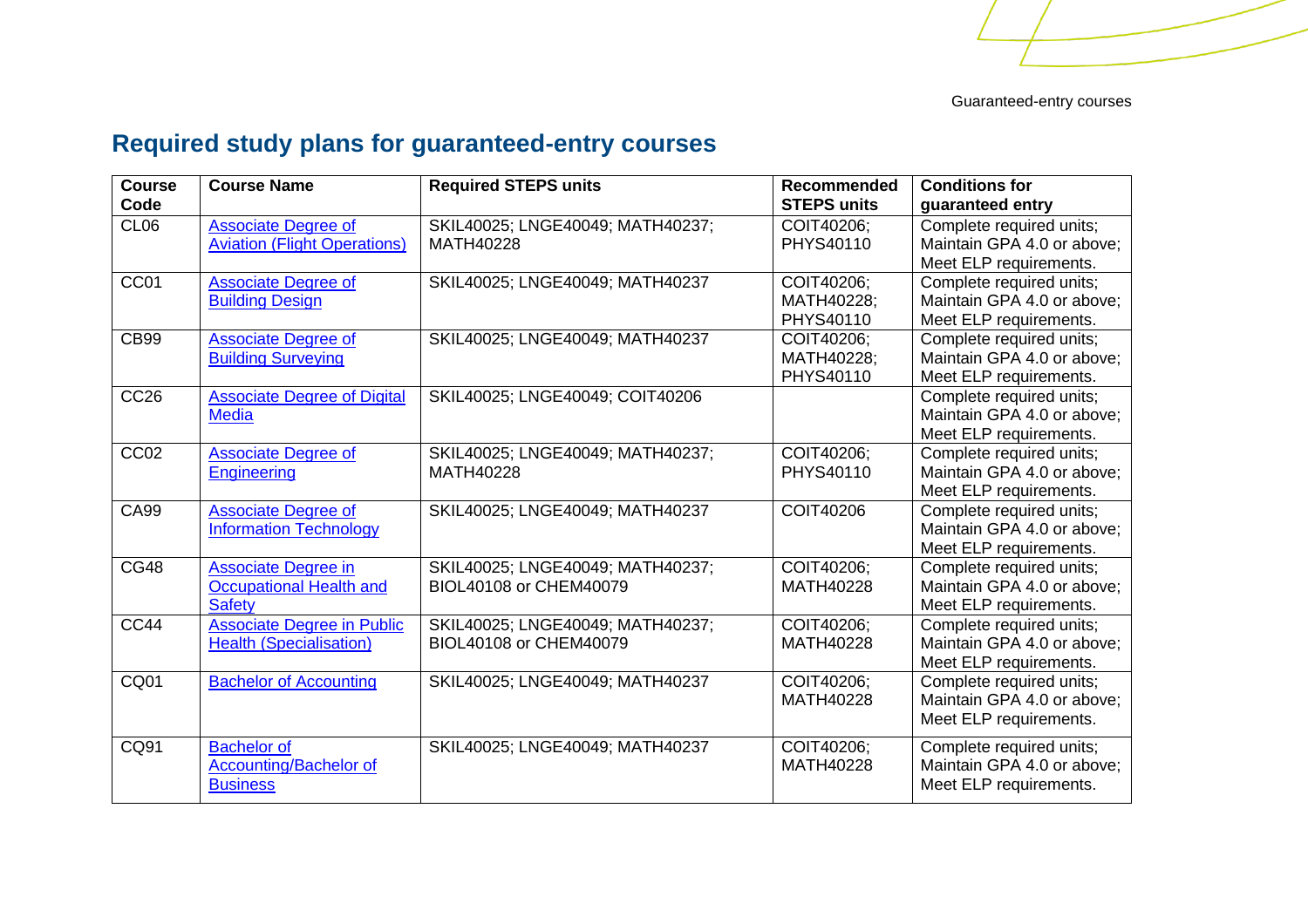# <span id="page-8-0"></span>**Required study plans for guaranteed-entry courses**

| <b>Course</b><br>Code | <b>Course Name</b>                                                            | <b>Required STEPS units</b>                                | <b>Recommended</b><br><b>STEPS units</b> | <b>Conditions for</b><br>guaranteed entry                                        |
|-----------------------|-------------------------------------------------------------------------------|------------------------------------------------------------|------------------------------------------|----------------------------------------------------------------------------------|
| CL <sub>06</sub>      | <b>Associate Degree of</b><br><b>Aviation (Flight Operations)</b>             | SKIL40025; LNGE40049; MATH40237;<br>MATH40228              | COIT40206:<br>PHYS40110                  | Complete required units;<br>Maintain GPA 4.0 or above;<br>Meet ELP requirements. |
| CC01                  | <b>Associate Degree of</b><br><b>Building Design</b>                          | SKIL40025; LNGE40049; MATH40237                            | COIT40206;<br>MATH40228:<br>PHYS40110    | Complete required units;<br>Maintain GPA 4.0 or above;<br>Meet ELP requirements. |
| <b>CB99</b>           | <b>Associate Degree of</b><br><b>Building Surveying</b>                       | SKIL40025; LNGE40049; MATH40237                            | COIT40206:<br>MATH40228;<br>PHYS40110    | Complete required units;<br>Maintain GPA 4.0 or above;<br>Meet ELP requirements. |
| CC <sub>26</sub>      | <b>Associate Degree of Digital</b><br><b>Media</b>                            | SKIL40025; LNGE40049; COIT40206                            |                                          | Complete required units;<br>Maintain GPA 4.0 or above;<br>Meet ELP requirements. |
| CC <sub>02</sub>      | <b>Associate Degree of</b><br><b>Engineering</b>                              | SKIL40025; LNGE40049; MATH40237;<br>MATH40228              | COIT40206;<br>PHYS40110                  | Complete required units;<br>Maintain GPA 4.0 or above;<br>Meet ELP requirements. |
| <b>CA99</b>           | <b>Associate Degree of</b><br><b>Information Technology</b>                   | SKIL40025; LNGE40049; MATH40237                            | COIT40206                                | Complete required units;<br>Maintain GPA 4.0 or above:<br>Meet ELP requirements. |
| <b>CG48</b>           | <b>Associate Degree in</b><br><b>Occupational Health and</b><br><b>Safety</b> | SKIL40025; LNGE40049; MATH40237;<br>BIOL40108 or CHEM40079 | COIT40206:<br>MATH40228                  | Complete required units;<br>Maintain GPA 4.0 or above;<br>Meet ELP requirements. |
| CC44                  | <b>Associate Degree in Public</b><br><b>Health (Specialisation)</b>           | SKIL40025; LNGE40049; MATH40237;<br>BIOL40108 or CHEM40079 | COIT40206;<br>MATH40228                  | Complete required units;<br>Maintain GPA 4.0 or above;<br>Meet ELP requirements. |
| CQ01                  | <b>Bachelor of Accounting</b>                                                 | SKIL40025; LNGE40049; MATH40237                            | COIT40206;<br>MATH40228                  | Complete required units;<br>Maintain GPA 4.0 or above;<br>Meet ELP requirements. |
| CQ91                  | <b>Bachelor of</b><br><b>Accounting/Bachelor of</b><br><b>Business</b>        | SKIL40025; LNGE40049; MATH40237                            | COIT40206;<br>MATH40228                  | Complete required units;<br>Maintain GPA 4.0 or above:<br>Meet ELP requirements. |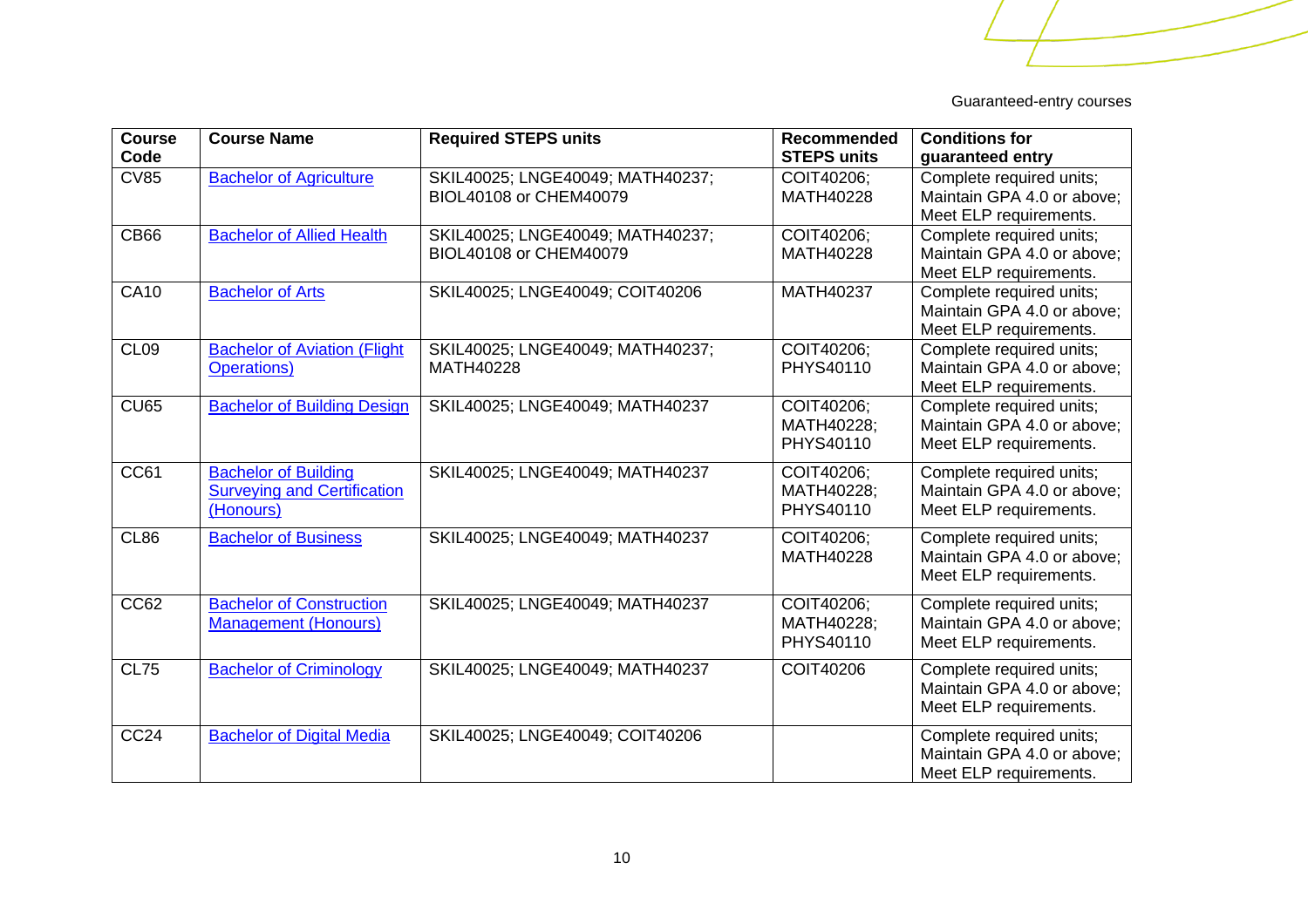| <b>Course</b><br>Code | <b>Course Name</b>                                             | <b>Required STEPS units</b>                                | <b>Recommended</b><br><b>STEPS units</b> | <b>Conditions for</b><br>guaranteed entry              |
|-----------------------|----------------------------------------------------------------|------------------------------------------------------------|------------------------------------------|--------------------------------------------------------|
|                       |                                                                |                                                            |                                          |                                                        |
| <b>CV85</b>           | <b>Bachelor of Agriculture</b>                                 | SKIL40025; LNGE40049; MATH40237;<br>BIOL40108 or CHEM40079 | COIT40206:<br>MATH40228                  | Complete required units;<br>Maintain GPA 4.0 or above; |
|                       |                                                                |                                                            |                                          |                                                        |
| <b>CB66</b>           | <b>Bachelor of Allied Health</b>                               | SKIL40025; LNGE40049; MATH40237;                           | COIT40206;                               | Meet ELP requirements.<br>Complete required units;     |
|                       |                                                                | BIOL40108 or CHEM40079                                     | MATH40228                                | Maintain GPA 4.0 or above;                             |
|                       |                                                                |                                                            |                                          | Meet ELP requirements.                                 |
| <b>CA10</b>           | <b>Bachelor of Arts</b>                                        | SKIL40025; LNGE40049; COIT40206                            | MATH40237                                | Complete required units;                               |
|                       |                                                                |                                                            |                                          | Maintain GPA 4.0 or above:                             |
|                       |                                                                |                                                            |                                          | Meet ELP requirements.                                 |
| CL <sub>09</sub>      | <b>Bachelor of Aviation (Flight</b>                            | SKIL40025; LNGE40049; MATH40237;                           | COIT40206;                               | Complete required units;                               |
|                       | <b>Operations)</b>                                             | MATH40228                                                  | PHYS40110                                | Maintain GPA 4.0 or above;                             |
|                       |                                                                |                                                            |                                          | Meet ELP requirements.                                 |
| CU65                  | <b>Bachelor of Building Design</b>                             | SKIL40025; LNGE40049; MATH40237                            | COIT40206;                               | Complete required units;                               |
|                       |                                                                |                                                            | MATH40228;                               | Maintain GPA 4.0 or above:                             |
|                       |                                                                |                                                            | PHYS40110                                | Meet ELP requirements.                                 |
|                       |                                                                |                                                            |                                          |                                                        |
| CC61                  | <b>Bachelor of Building</b>                                    | SKIL40025; LNGE40049; MATH40237                            | COIT40206;                               | Complete required units;                               |
|                       | <b>Surveying and Certification</b>                             |                                                            | MATH40228;                               | Maintain GPA 4.0 or above;                             |
|                       | (Honours)                                                      |                                                            | PHYS40110                                | Meet ELP requirements.                                 |
| CL86                  | <b>Bachelor of Business</b>                                    | SKIL40025; LNGE40049; MATH40237                            | COIT40206;                               | Complete required units;                               |
|                       |                                                                |                                                            | MATH40228                                | Maintain GPA 4.0 or above;                             |
|                       |                                                                |                                                            |                                          | Meet ELP requirements.                                 |
| CC62                  |                                                                |                                                            |                                          |                                                        |
|                       | <b>Bachelor of Construction</b><br><b>Management (Honours)</b> | SKIL40025; LNGE40049; MATH40237                            | COIT40206;<br>MATH40228;                 | Complete required units;<br>Maintain GPA 4.0 or above: |
|                       |                                                                |                                                            | PHYS40110                                |                                                        |
|                       |                                                                |                                                            |                                          | Meet ELP requirements.                                 |
| <b>CL75</b>           | <b>Bachelor of Criminology</b>                                 | SKIL40025; LNGE40049; MATH40237                            | COIT40206                                | Complete required units;                               |
|                       |                                                                |                                                            |                                          | Maintain GPA 4.0 or above:                             |
|                       |                                                                |                                                            |                                          | Meet ELP requirements.                                 |
| <b>CC24</b>           | <b>Bachelor of Digital Media</b>                               | SKIL40025; LNGE40049; COIT40206                            |                                          | Complete required units;                               |
|                       |                                                                |                                                            |                                          | Maintain GPA 4.0 or above;                             |
|                       |                                                                |                                                            |                                          | Meet ELP requirements.                                 |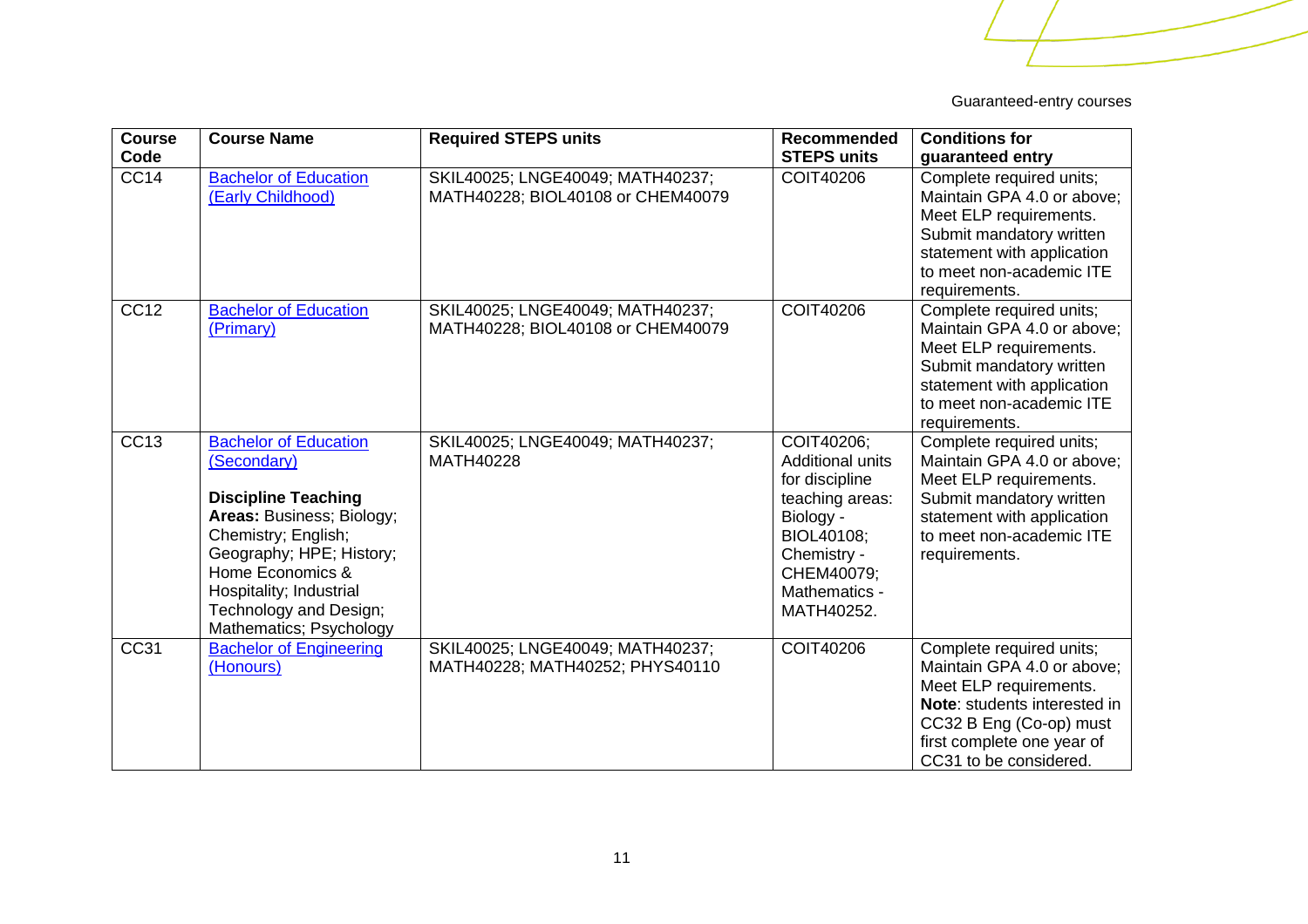| <b>Course</b><br>Code | <b>Course Name</b>                                                                                                                                                                                                                                            | <b>Required STEPS units</b>                                           | Recommended<br><b>STEPS units</b>                                                                                                                          | <b>Conditions for</b>                                                                                                                                                                                      |
|-----------------------|---------------------------------------------------------------------------------------------------------------------------------------------------------------------------------------------------------------------------------------------------------------|-----------------------------------------------------------------------|------------------------------------------------------------------------------------------------------------------------------------------------------------|------------------------------------------------------------------------------------------------------------------------------------------------------------------------------------------------------------|
|                       |                                                                                                                                                                                                                                                               |                                                                       |                                                                                                                                                            | guaranteed entry                                                                                                                                                                                           |
| CC <sub>14</sub>      | <b>Bachelor of Education</b><br>(Early Childhood)                                                                                                                                                                                                             | SKIL40025; LNGE40049; MATH40237;<br>MATH40228; BIOL40108 or CHEM40079 | COIT40206                                                                                                                                                  | Complete required units;<br>Maintain GPA 4.0 or above;<br>Meet ELP requirements.<br>Submit mandatory written<br>statement with application<br>to meet non-academic ITE<br>requirements.                    |
| <b>CC12</b>           | <b>Bachelor of Education</b><br>(Primary)                                                                                                                                                                                                                     | SKIL40025; LNGE40049; MATH40237;<br>MATH40228; BIOL40108 or CHEM40079 | <b>COIT40206</b>                                                                                                                                           | Complete required units;<br>Maintain GPA 4.0 or above;<br>Meet ELP requirements.<br>Submit mandatory written<br>statement with application<br>to meet non-academic ITE<br>requirements.                    |
| <b>CC13</b>           | <b>Bachelor of Education</b><br>(Secondary)<br><b>Discipline Teaching</b><br>Areas: Business; Biology;<br>Chemistry; English;<br>Geography; HPE; History;<br>Home Economics &<br>Hospitality; Industrial<br>Technology and Design;<br>Mathematics; Psychology | SKIL40025; LNGE40049; MATH40237;<br>MATH40228                         | COIT40206;<br>Additional units<br>for discipline<br>teaching areas:<br>Biology -<br>BIOL40108:<br>Chemistry -<br>CHEM40079;<br>Mathematics -<br>MATH40252. | Complete required units;<br>Maintain GPA 4.0 or above;<br>Meet ELP requirements.<br>Submit mandatory written<br>statement with application<br>to meet non-academic ITE<br>requirements.                    |
| CC31                  | <b>Bachelor of Engineering</b><br>(Honours)                                                                                                                                                                                                                   | SKIL40025; LNGE40049; MATH40237;<br>MATH40228; MATH40252; PHYS40110   | <b>COIT40206</b>                                                                                                                                           | Complete required units;<br>Maintain GPA 4.0 or above;<br>Meet ELP requirements.<br><b>Note:</b> students interested in<br>CC32 B Eng (Co-op) must<br>first complete one year of<br>CC31 to be considered. |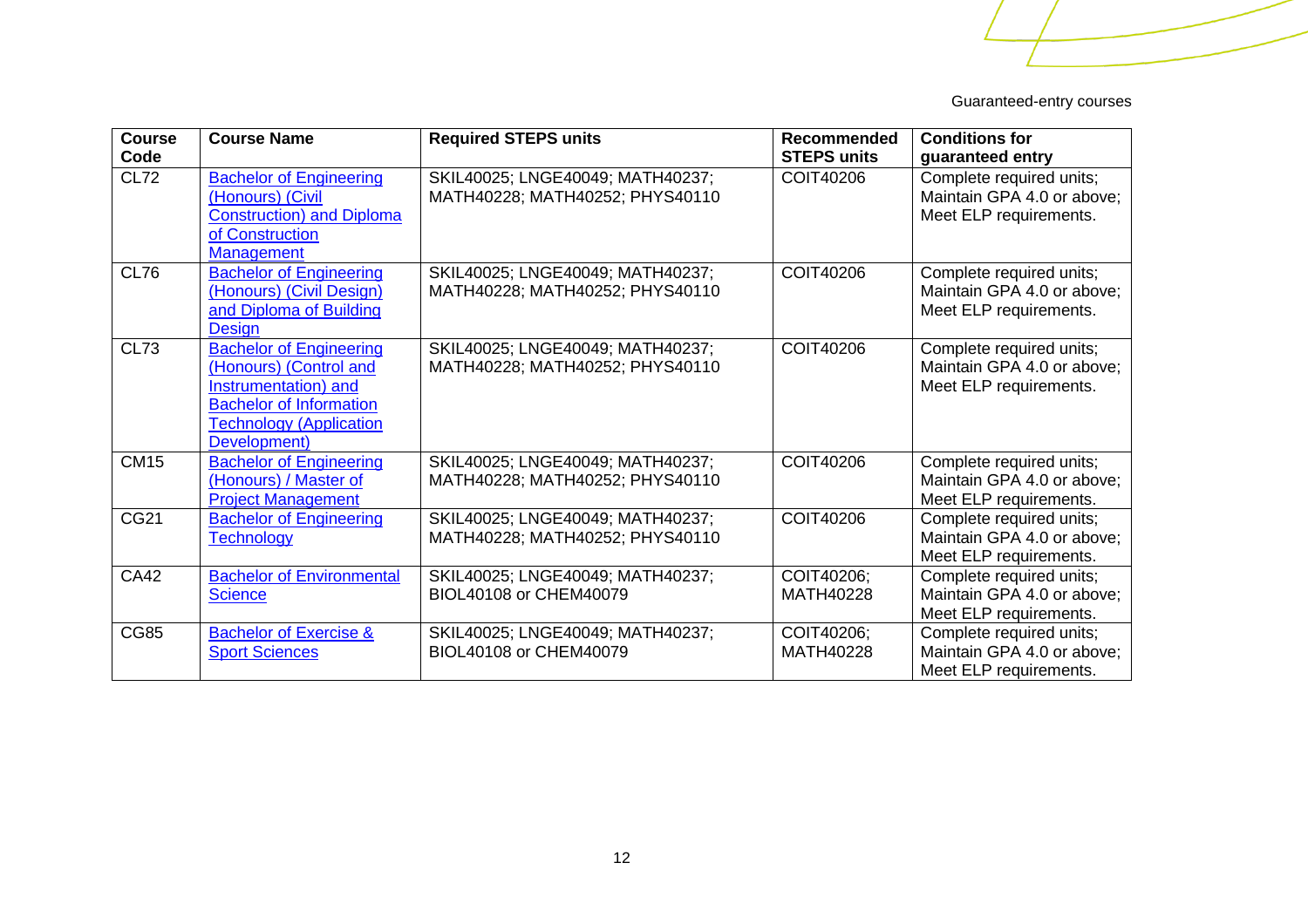| <b>Course</b><br>Code | <b>Course Name</b>                                                                                                                                                   | <b>Required STEPS units</b>                                         | <b>Recommended</b><br><b>STEPS units</b> | <b>Conditions for</b><br>guaranteed entry                                        |
|-----------------------|----------------------------------------------------------------------------------------------------------------------------------------------------------------------|---------------------------------------------------------------------|------------------------------------------|----------------------------------------------------------------------------------|
| <b>CL72</b>           | <b>Bachelor of Engineering</b><br>(Honours) (Civil<br><b>Construction) and Diploma</b><br>of Construction<br><b>Management</b>                                       | SKIL40025; LNGE40049; MATH40237;<br>MATH40228; MATH40252; PHYS40110 | COIT40206                                | Complete required units;<br>Maintain GPA 4.0 or above;<br>Meet ELP requirements. |
| CL76                  | <b>Bachelor of Engineering</b><br>(Honours) (Civil Design)<br>and Diploma of Building<br><b>Design</b>                                                               | SKIL40025; LNGE40049; MATH40237;<br>MATH40228; MATH40252; PHYS40110 | <b>COIT40206</b>                         | Complete required units;<br>Maintain GPA 4.0 or above;<br>Meet ELP requirements. |
| <b>CL73</b>           | <b>Bachelor of Engineering</b><br>(Honours) (Control and<br>Instrumentation) and<br><b>Bachelor of Information</b><br><b>Technology (Application</b><br>Development) | SKIL40025; LNGE40049; MATH40237;<br>MATH40228; MATH40252; PHYS40110 | <b>COIT40206</b>                         | Complete required units;<br>Maintain GPA 4.0 or above;<br>Meet ELP requirements. |
| <b>CM15</b>           | <b>Bachelor of Engineering</b><br>(Honours) / Master of<br><b>Project Management</b>                                                                                 | SKIL40025; LNGE40049; MATH40237;<br>MATH40228; MATH40252; PHYS40110 | COIT40206                                | Complete required units;<br>Maintain GPA 4.0 or above;<br>Meet ELP requirements. |
| CG21                  | <b>Bachelor of Engineering</b><br><b>Technology</b>                                                                                                                  | SKIL40025; LNGE40049; MATH40237;<br>MATH40228; MATH40252; PHYS40110 | <b>COIT40206</b>                         | Complete required units;<br>Maintain GPA 4.0 or above;<br>Meet ELP requirements. |
| <b>CA42</b>           | <b>Bachelor of Environmental</b><br><b>Science</b>                                                                                                                   | SKIL40025; LNGE40049; MATH40237;<br>BIOL40108 or CHEM40079          | COIT40206;<br>MATH40228                  | Complete required units;<br>Maintain GPA 4.0 or above;<br>Meet ELP requirements. |
| <b>CG85</b>           | <b>Bachelor of Exercise &amp;</b><br><b>Sport Sciences</b>                                                                                                           | SKIL40025; LNGE40049; MATH40237;<br>BIOL40108 or CHEM40079          | COIT40206;<br><b>MATH40228</b>           | Complete required units;<br>Maintain GPA 4.0 or above;<br>Meet ELP requirements. |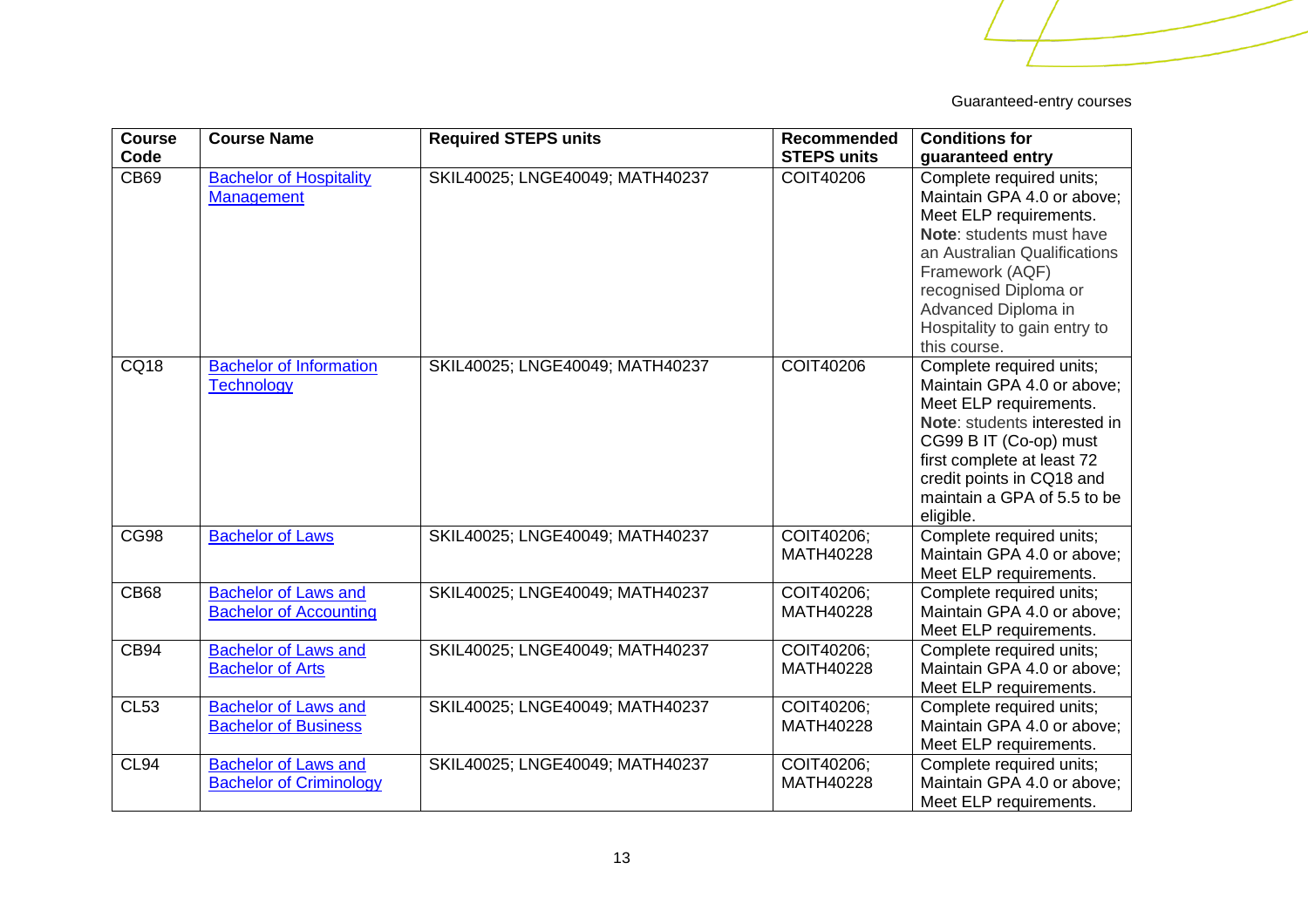| <b>Course</b> | <b>Course Name</b>                                            | <b>Required STEPS units</b>     | Recommended             | <b>Conditions for</b>                                                                                                                                                                                                                                           |
|---------------|---------------------------------------------------------------|---------------------------------|-------------------------|-----------------------------------------------------------------------------------------------------------------------------------------------------------------------------------------------------------------------------------------------------------------|
| Code          |                                                               |                                 | <b>STEPS units</b>      | guaranteed entry                                                                                                                                                                                                                                                |
| <b>CB69</b>   | <b>Bachelor of Hospitality</b><br>Management                  | SKIL40025; LNGE40049; MATH40237 | COIT40206               | Complete required units;<br>Maintain GPA 4.0 or above;<br>Meet ELP requirements.<br>Note: students must have<br>an Australian Qualifications<br>Framework (AQF)<br>recognised Diploma or<br>Advanced Diploma in<br>Hospitality to gain entry to<br>this course. |
| <b>CQ18</b>   | <b>Bachelor of Information</b><br><b>Technology</b>           | SKIL40025; LNGE40049; MATH40237 | <b>COIT40206</b>        | Complete required units;<br>Maintain GPA 4.0 or above:<br>Meet ELP requirements.<br>Note: students interested in<br>CG99 B IT (Co-op) must<br>first complete at least 72<br>credit points in CQ18 and<br>maintain a GPA of 5.5 to be<br>eligible.               |
| <b>CG98</b>   | <b>Bachelor of Laws</b>                                       | SKIL40025; LNGE40049; MATH40237 | COIT40206;<br>MATH40228 | Complete required units;<br>Maintain GPA 4.0 or above;<br>Meet ELP requirements.                                                                                                                                                                                |
| <b>CB68</b>   | <b>Bachelor of Laws and</b><br><b>Bachelor of Accounting</b>  | SKIL40025; LNGE40049; MATH40237 | COIT40206;<br>MATH40228 | Complete required units;<br>Maintain GPA 4.0 or above;<br>Meet ELP requirements.                                                                                                                                                                                |
| CB94          | <b>Bachelor of Laws and</b><br><b>Bachelor of Arts</b>        | SKIL40025; LNGE40049; MATH40237 | COIT40206;<br>MATH40228 | Complete required units;<br>Maintain GPA 4.0 or above;<br>Meet ELP requirements.                                                                                                                                                                                |
| <b>CL53</b>   | <b>Bachelor of Laws and</b><br><b>Bachelor of Business</b>    | SKIL40025; LNGE40049; MATH40237 | COIT40206;<br>MATH40228 | Complete required units;<br>Maintain GPA 4.0 or above;<br>Meet ELP requirements.                                                                                                                                                                                |
| CL94          | <b>Bachelor of Laws and</b><br><b>Bachelor of Criminology</b> | SKIL40025; LNGE40049; MATH40237 | COIT40206;<br>MATH40228 | Complete required units;<br>Maintain GPA 4.0 or above;<br>Meet ELP requirements.                                                                                                                                                                                |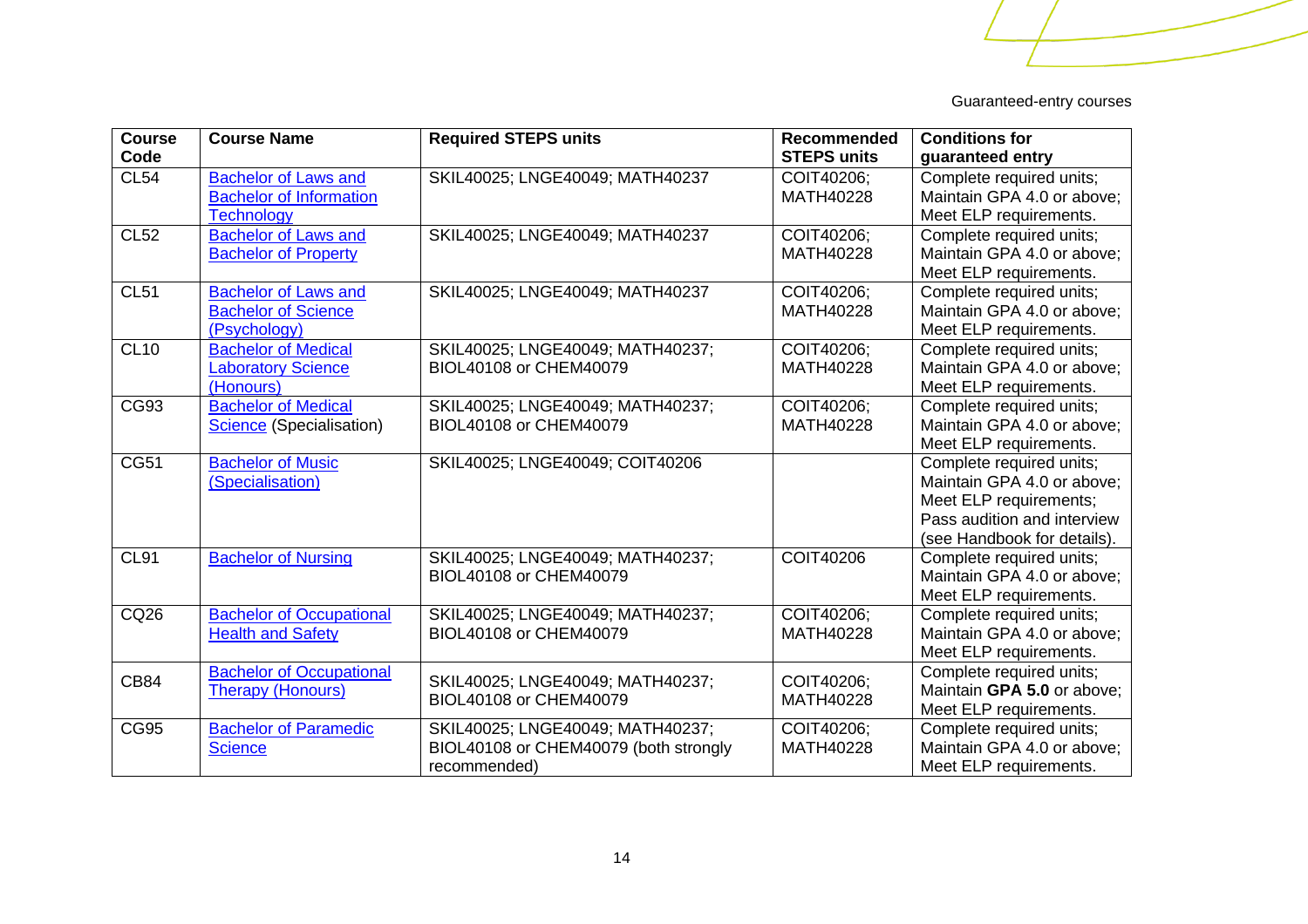| <b>Course</b><br>Code | <b>Course Name</b>                                                                 | <b>Required STEPS units</b>                                                               | Recommended<br><b>STEPS units</b> | <b>Conditions for</b><br>guaranteed entry                                                                                                      |
|-----------------------|------------------------------------------------------------------------------------|-------------------------------------------------------------------------------------------|-----------------------------------|------------------------------------------------------------------------------------------------------------------------------------------------|
| <b>CL54</b>           | <b>Bachelor of Laws and</b><br><b>Bachelor of Information</b><br><b>Technology</b> | SKIL40025; LNGE40049; MATH40237                                                           | COIT40206;<br>MATH40228           | Complete required units;<br>Maintain GPA 4.0 or above;<br>Meet ELP requirements.                                                               |
| CL52                  | <b>Bachelor of Laws and</b><br><b>Bachelor of Property</b>                         | SKIL40025; LNGE40049; MATH40237                                                           | COIT40206;<br>MATH40228           | Complete required units;<br>Maintain GPA 4.0 or above;<br>Meet ELP requirements.                                                               |
| <b>CL51</b>           | <b>Bachelor of Laws and</b><br><b>Bachelor of Science</b><br>(Psychology)          | SKIL40025; LNGE40049; MATH40237                                                           | COIT40206;<br>MATH40228           | Complete required units;<br>Maintain GPA 4.0 or above;<br>Meet ELP requirements.                                                               |
| CL10                  | <b>Bachelor of Medical</b><br><b>Laboratory Science</b><br>(Honours)               | SKIL40025; LNGE40049; MATH40237;<br>BIOL40108 or CHEM40079                                | COIT40206;<br>MATH40228           | Complete required units;<br>Maintain GPA 4.0 or above;<br>Meet ELP requirements.                                                               |
| CG93                  | <b>Bachelor of Medical</b><br>Science (Specialisation)                             | SKIL40025; LNGE40049; MATH40237;<br>BIOL40108 or CHEM40079                                | COIT40206:<br>MATH40228           | Complete required units;<br>Maintain GPA 4.0 or above;<br>Meet ELP requirements.                                                               |
| <b>CG51</b>           | <b>Bachelor of Music</b><br>(Specialisation)                                       | SKIL40025; LNGE40049; COIT40206                                                           |                                   | Complete required units;<br>Maintain GPA 4.0 or above;<br>Meet ELP requirements;<br>Pass audition and interview<br>(see Handbook for details). |
| CL91                  | <b>Bachelor of Nursing</b>                                                         | SKIL40025; LNGE40049; MATH40237;<br>BIOL40108 or CHEM40079                                | <b>COIT40206</b>                  | Complete required units;<br>Maintain GPA 4.0 or above;<br>Meet ELP requirements.                                                               |
| CQ26                  | <b>Bachelor of Occupational</b><br><b>Health and Safety</b>                        | SKIL40025; LNGE40049; MATH40237;<br>BIOL40108 or CHEM40079                                | COIT40206:<br>MATH40228           | Complete required units;<br>Maintain GPA 4.0 or above;<br>Meet ELP requirements.                                                               |
| <b>CB84</b>           | <b>Bachelor of Occupational</b><br><b>Therapy (Honours)</b>                        | SKIL40025; LNGE40049; MATH40237;<br>BIOL40108 or CHEM40079                                | COIT40206;<br>MATH40228           | Complete required units;<br>Maintain GPA 5.0 or above:<br>Meet ELP requirements.                                                               |
| <b>CG95</b>           | <b>Bachelor of Paramedic</b><br><b>Science</b>                                     | SKIL40025; LNGE40049; MATH40237;<br>BIOL40108 or CHEM40079 (both strongly<br>recommended) | COIT40206;<br>MATH40228           | Complete required units;<br>Maintain GPA 4.0 or above;<br>Meet ELP requirements.                                                               |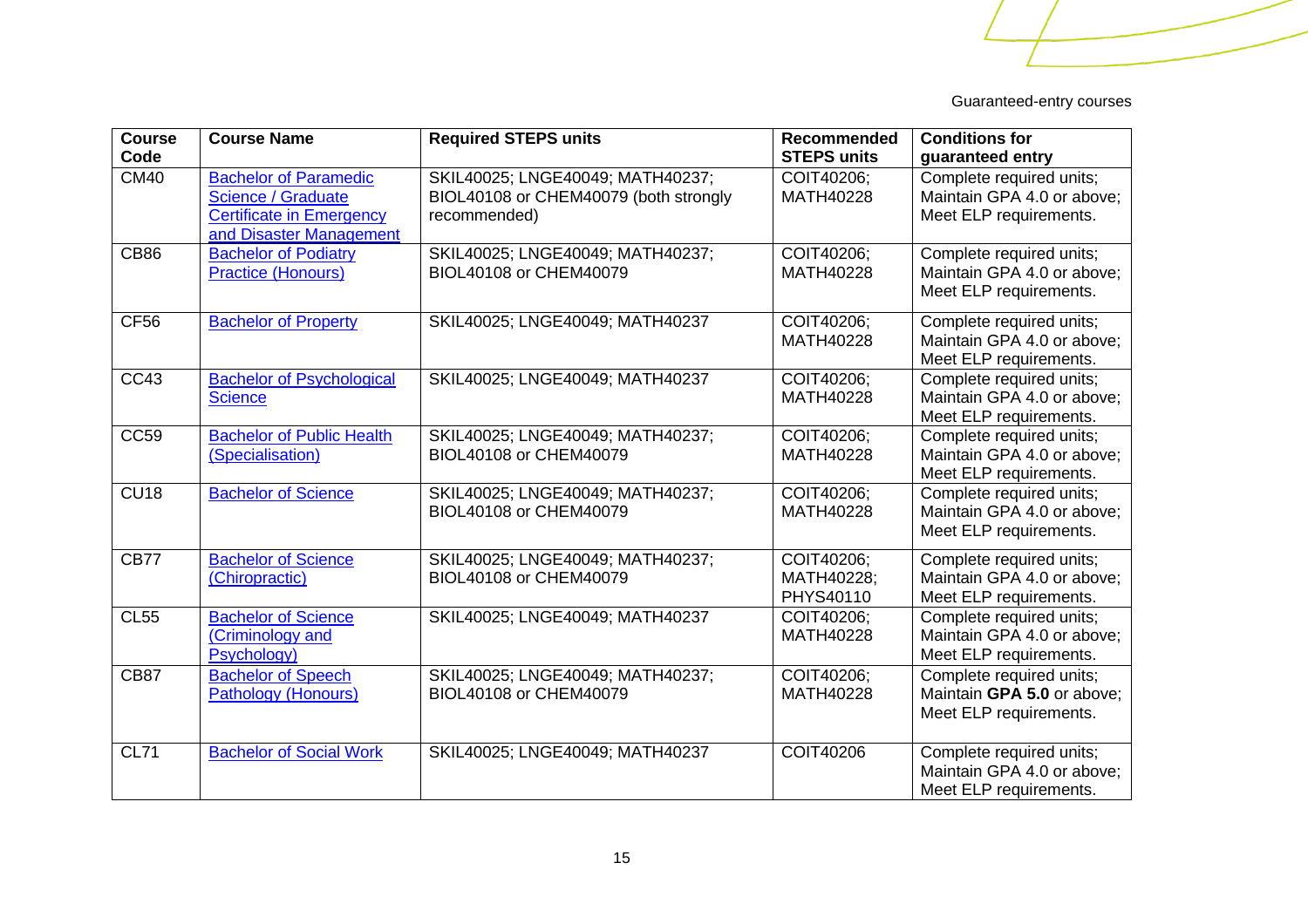| Course<br>Code | <b>Course Name</b>                                                                                                      | <b>Required STEPS units</b>                                                               | <b>Recommended</b><br><b>STEPS units</b> | <b>Conditions for</b><br>guaranteed entry                                        |
|----------------|-------------------------------------------------------------------------------------------------------------------------|-------------------------------------------------------------------------------------------|------------------------------------------|----------------------------------------------------------------------------------|
| <b>CM40</b>    | <b>Bachelor of Paramedic</b><br><b>Science / Graduate</b><br><b>Certificate in Emergency</b><br>and Disaster Management | SKIL40025; LNGE40049; MATH40237;<br>BIOL40108 or CHEM40079 (both strongly<br>recommended) | COIT40206:<br>MATH40228                  | Complete required units;<br>Maintain GPA 4.0 or above;<br>Meet ELP requirements. |
| <b>CB86</b>    | <b>Bachelor of Podiatry</b><br><b>Practice (Honours)</b>                                                                | SKIL40025; LNGE40049; MATH40237;<br>BIOL40108 or CHEM40079                                | COIT40206;<br>MATH40228                  | Complete required units;<br>Maintain GPA 4.0 or above;<br>Meet ELP requirements. |
| <b>CF56</b>    | <b>Bachelor of Property</b>                                                                                             | SKIL40025; LNGE40049; MATH40237                                                           | COIT40206;<br>MATH40228                  | Complete required units;<br>Maintain GPA 4.0 or above;<br>Meet ELP requirements. |
| CC43           | <b>Bachelor of Psychological</b><br><b>Science</b>                                                                      | SKIL40025; LNGE40049; MATH40237                                                           | COIT40206;<br>MATH40228                  | Complete required units;<br>Maintain GPA 4.0 or above;<br>Meet ELP requirements. |
| <b>CC59</b>    | <b>Bachelor of Public Health</b><br>(Specialisation)                                                                    | SKIL40025; LNGE40049; MATH40237;<br>BIOL40108 or CHEM40079                                | COIT40206;<br>MATH40228                  | Complete required units;<br>Maintain GPA 4.0 or above;<br>Meet ELP requirements. |
| <b>CU18</b>    | <b>Bachelor of Science</b>                                                                                              | SKIL40025; LNGE40049; MATH40237;<br>BIOL40108 or CHEM40079                                | COIT40206;<br>MATH40228                  | Complete required units;<br>Maintain GPA 4.0 or above;<br>Meet ELP requirements. |
| <b>CB77</b>    | <b>Bachelor of Science</b><br>(Chiropractic)                                                                            | SKIL40025; LNGE40049; MATH40237;<br>BIOL40108 or CHEM40079                                | COIT40206;<br>MATH40228;<br>PHYS40110    | Complete required units;<br>Maintain GPA 4.0 or above;<br>Meet ELP requirements. |
| <b>CL55</b>    | <b>Bachelor of Science</b><br>(Criminology and<br>Psychology)                                                           | SKIL40025; LNGE40049; MATH40237                                                           | COIT40206;<br>MATH40228                  | Complete required units;<br>Maintain GPA 4.0 or above:<br>Meet ELP requirements. |
| <b>CB87</b>    | <b>Bachelor of Speech</b><br><b>Pathology (Honours)</b>                                                                 | SKIL40025; LNGE40049; MATH40237;<br>BIOL40108 or CHEM40079                                | COIT40206;<br>MATH40228                  | Complete required units;<br>Maintain GPA 5.0 or above;<br>Meet ELP requirements. |
| <b>CL71</b>    | <b>Bachelor of Social Work</b>                                                                                          | SKIL40025; LNGE40049; MATH40237                                                           | <b>COIT40206</b>                         | Complete required units;<br>Maintain GPA 4.0 or above;<br>Meet ELP requirements. |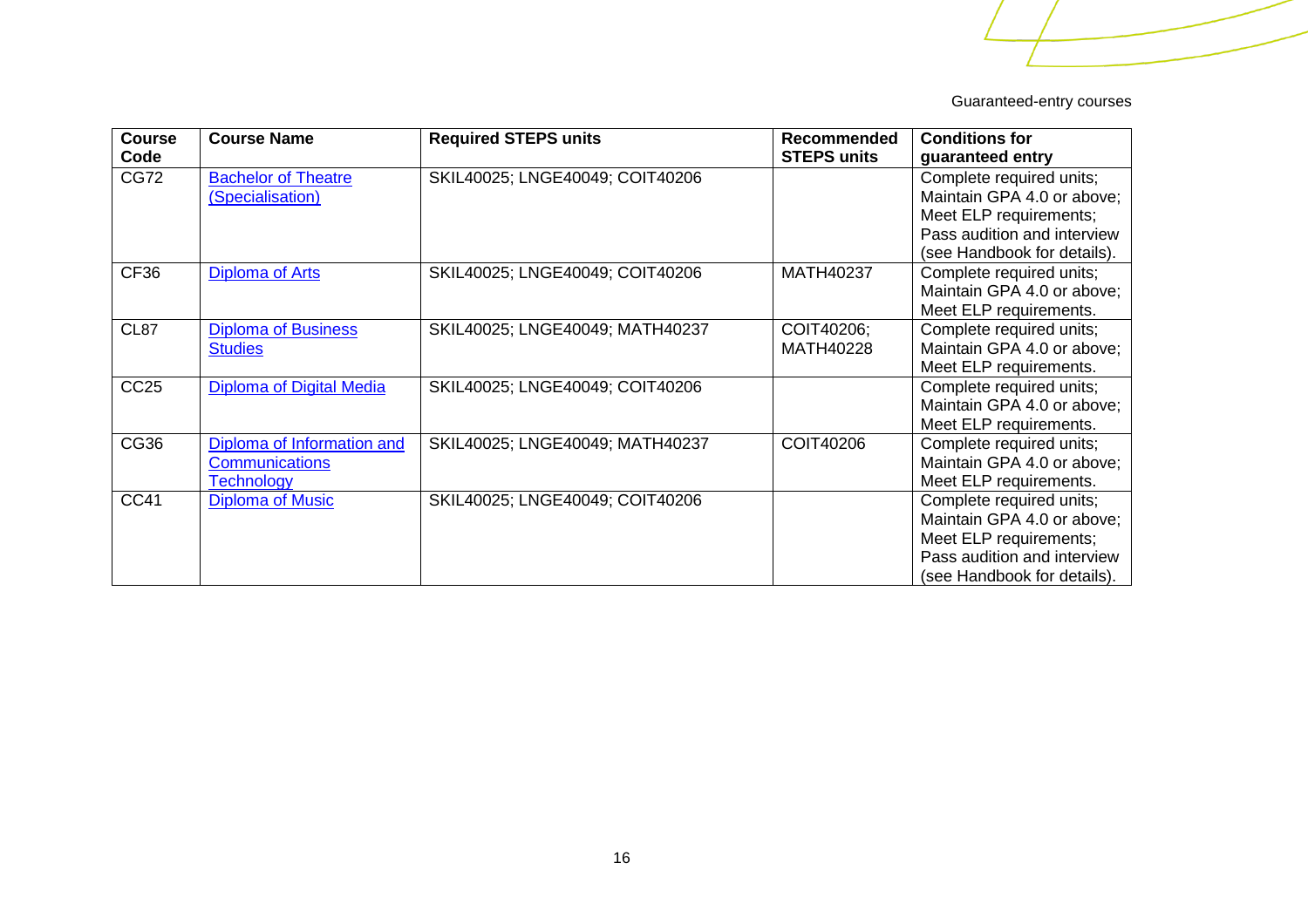| <b>Course</b><br>Code | <b>Course Name</b>                                                       | <b>Required STEPS units</b>     | <b>Recommended</b><br><b>STEPS units</b> | <b>Conditions for</b><br>guaranteed entry                                                                                                      |
|-----------------------|--------------------------------------------------------------------------|---------------------------------|------------------------------------------|------------------------------------------------------------------------------------------------------------------------------------------------|
| <b>CG72</b>           | <b>Bachelor of Theatre</b><br>(Specialisation)                           | SKIL40025; LNGE40049; COIT40206 |                                          | Complete required units;<br>Maintain GPA 4.0 or above;<br>Meet ELP requirements;<br>Pass audition and interview                                |
| CF <sub>36</sub>      | <b>Diploma of Arts</b>                                                   | SKIL40025; LNGE40049; COIT40206 | MATH40237                                | (see Handbook for details).<br>Complete required units;<br>Maintain GPA 4.0 or above;<br>Meet ELP requirements.                                |
| <b>CL87</b>           | <b>Diploma of Business</b><br><b>Studies</b>                             | SKIL40025; LNGE40049; MATH40237 | COIT40206;<br>MATH40228                  | Complete required units;<br>Maintain GPA 4.0 or above;<br>Meet ELP requirements.                                                               |
| CC <sub>25</sub>      | Diploma of Digital Media                                                 | SKIL40025; LNGE40049; COIT40206 |                                          | Complete required units;<br>Maintain GPA 4.0 or above;<br>Meet ELP requirements.                                                               |
| CG36                  | Diploma of Information and<br><b>Communications</b><br><b>Technology</b> | SKIL40025; LNGE40049; MATH40237 | COIT40206                                | Complete required units;<br>Maintain GPA 4.0 or above;<br>Meet ELP requirements.                                                               |
| <b>CC41</b>           | <b>Diploma of Music</b>                                                  | SKIL40025; LNGE40049; COIT40206 |                                          | Complete required units;<br>Maintain GPA 4.0 or above;<br>Meet ELP requirements;<br>Pass audition and interview<br>(see Handbook for details). |